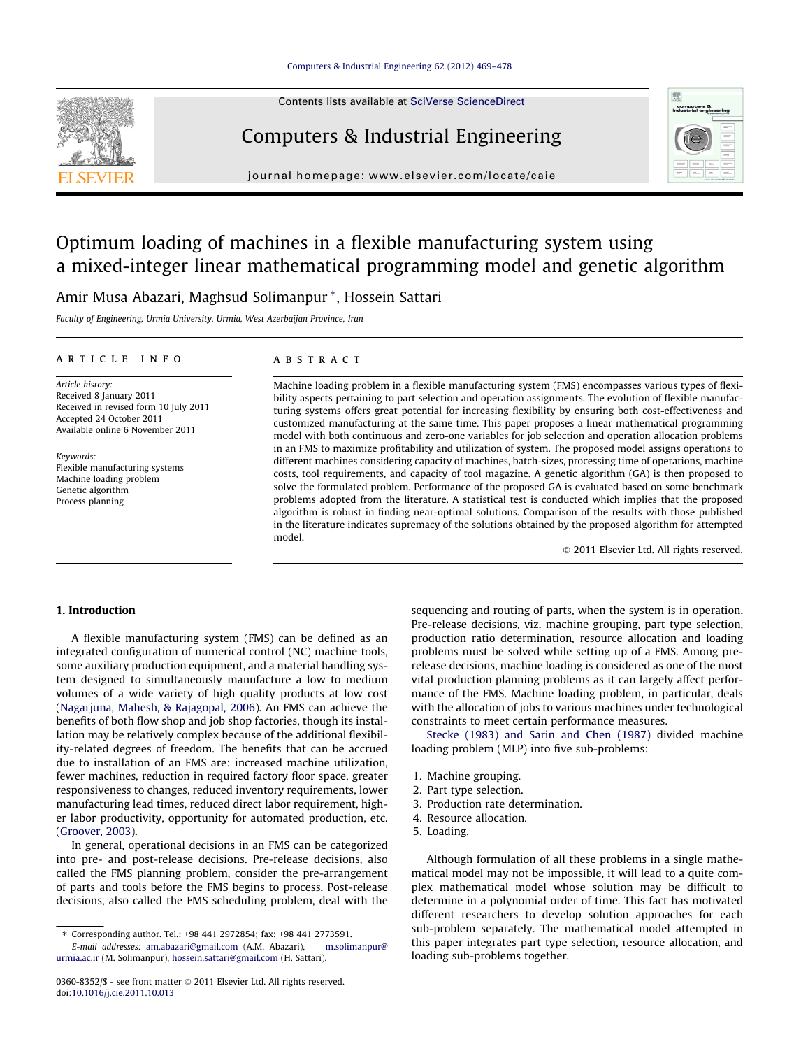#### [Computers & Industrial Engineering 62 \(2012\) 469–478](http://dx.doi.org/10.1016/j.cie.2011.10.013)



Contents lists available at [SciVerse ScienceDirect](http://www.sciencedirect.com/science/journal/03608352)

### Computers & Industrial Engineering



journal homepage: [www.elsevier.com/locate/caie](http://www.elsevier.com/locate/caie)

## Optimum loading of machines in a flexible manufacturing system using a mixed-integer linear mathematical programming model and genetic algorithm

Amir Musa Abazari, Maghsud Solimanpur \*, Hossein Sattari

Faculty of Engineering, Urmia University, Urmia, West Azerbaijan Province, Iran

#### article info

Article history: Received 8 January 2011 Received in revised form 10 July 2011 Accepted 24 October 2011 Available online 6 November 2011

Keywords: Flexible manufacturing systems Machine loading problem Genetic algorithm Process planning

#### ABSTRACT

Machine loading problem in a flexible manufacturing system (FMS) encompasses various types of flexibility aspects pertaining to part selection and operation assignments. The evolution of flexible manufacturing systems offers great potential for increasing flexibility by ensuring both cost-effectiveness and customized manufacturing at the same time. This paper proposes a linear mathematical programming model with both continuous and zero-one variables for job selection and operation allocation problems in an FMS to maximize profitability and utilization of system. The proposed model assigns operations to different machines considering capacity of machines, batch-sizes, processing time of operations, machine costs, tool requirements, and capacity of tool magazine. A genetic algorithm (GA) is then proposed to solve the formulated problem. Performance of the proposed GA is evaluated based on some benchmark problems adopted from the literature. A statistical test is conducted which implies that the proposed algorithm is robust in finding near-optimal solutions. Comparison of the results with those published in the literature indicates supremacy of the solutions obtained by the proposed algorithm for attempted model.

- 2011 Elsevier Ltd. All rights reserved.

#### 1. Introduction

A flexible manufacturing system (FMS) can be defined as an integrated configuration of numerical control (NC) machine tools, some auxiliary production equipment, and a material handling system designed to simultaneously manufacture a low to medium volumes of a wide variety of high quality products at low cost ([Nagarjuna, Mahesh, & Rajagopal, 2006](#page--1-0)). An FMS can achieve the benefits of both flow shop and job shop factories, though its installation may be relatively complex because of the additional flexibility-related degrees of freedom. The benefits that can be accrued due to installation of an FMS are: increased machine utilization, fewer machines, reduction in required factory floor space, greater responsiveness to changes, reduced inventory requirements, lower manufacturing lead times, reduced direct labor requirement, higher labor productivity, opportunity for automated production, etc. ([Groover, 2003](#page--1-0)).

In general, operational decisions in an FMS can be categorized into pre- and post-release decisions. Pre-release decisions, also called the FMS planning problem, consider the pre-arrangement of parts and tools before the FMS begins to process. Post-release decisions, also called the FMS scheduling problem, deal with the

0360-8352/\$ - see front matter © 2011 Elsevier Ltd. All rights reserved. doi[:10.1016/j.cie.2011.10.013](http://dx.doi.org/10.1016/j.cie.2011.10.013)

sequencing and routing of parts, when the system is in operation. Pre-release decisions, viz. machine grouping, part type selection, production ratio determination, resource allocation and loading problems must be solved while setting up of a FMS. Among prerelease decisions, machine loading is considered as one of the most vital production planning problems as it can largely affect performance of the FMS. Machine loading problem, in particular, deals with the allocation of jobs to various machines under technological constraints to meet certain performance measures.

[Stecke \(1983\) and Sarin and Chen \(1987\)](#page--1-0) divided machine loading problem (MLP) into five sub-problems:

- 1. Machine grouping.
- 2. Part type selection.
- 3. Production rate determination.
- 4. Resource allocation.
- 5. Loading.

Although formulation of all these problems in a single mathematical model may not be impossible, it will lead to a quite complex mathematical model whose solution may be difficult to determine in a polynomial order of time. This fact has motivated different researchers to develop solution approaches for each sub-problem separately. The mathematical model attempted in this paper integrates part type selection, resource allocation, and loading sub-problems together.

<sup>⇑</sup> Corresponding author. Tel.: +98 441 2972854; fax: +98 441 2773591. E-mail addresses: [am.abazari@gmail.com](mailto:am.abazari@gmail.com) (A.M. Abazari),

[urmia.ac.ir](mailto:   m.solimanpur@ urmia.ac.ir) (M. Solimanpur), [hossein.sattari@gmail.com](mailto:hossein.sattari@gmail.com) (H. Sattari).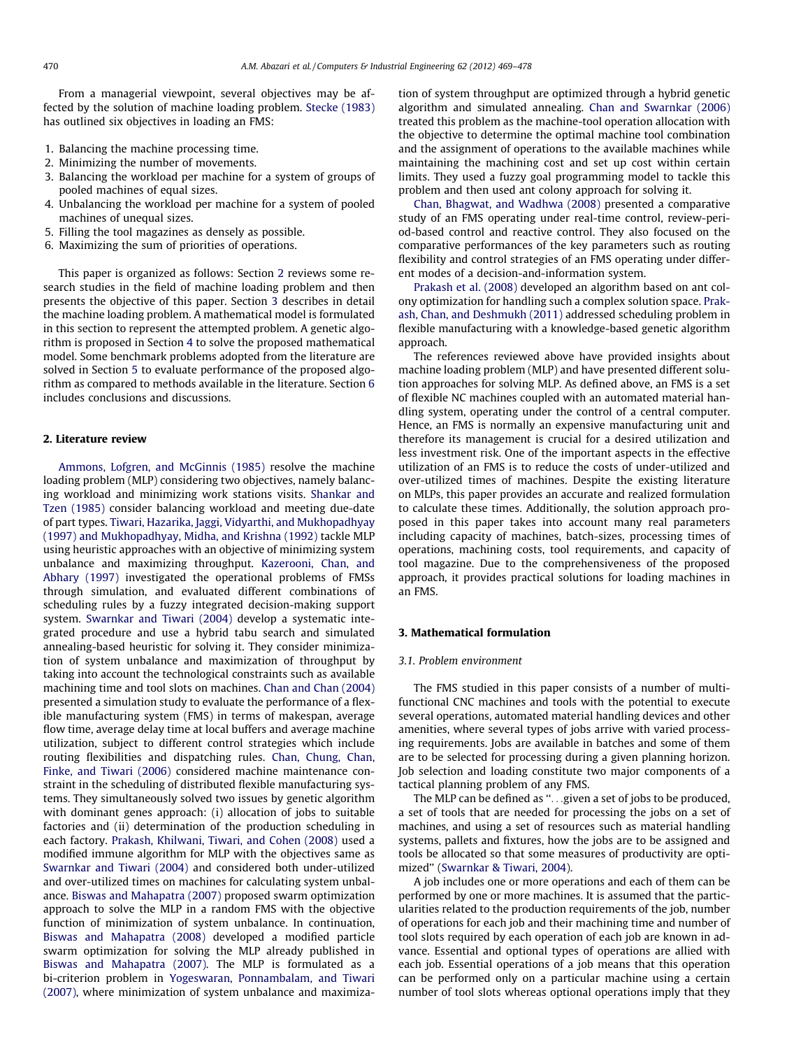From a managerial viewpoint, several objectives may be affected by the solution of machine loading problem. [Stecke \(1983\)](#page--1-0) has outlined six objectives in loading an FMS:

- 1. Balancing the machine processing time.
- 2. Minimizing the number of movements.
- 3. Balancing the workload per machine for a system of groups of pooled machines of equal sizes.
- 4. Unbalancing the workload per machine for a system of pooled machines of unequal sizes.
- 5. Filling the tool magazines as densely as possible.
- 6. Maximizing the sum of priorities of operations.

This paper is organized as follows: Section 2 reviews some research studies in the field of machine loading problem and then presents the objective of this paper. Section 3 describes in detail the machine loading problem. A mathematical model is formulated in this section to represent the attempted problem. A genetic algorithm is proposed in Section [4](#page--1-0) to solve the proposed mathematical model. Some benchmark problems adopted from the literature are solved in Section [5](#page--1-0) to evaluate performance of the proposed algorithm as compared to methods available in the literature. Section [6](#page--1-0) includes conclusions and discussions.

#### 2. Literature review

[Ammons, Lofgren, and McGinnis \(1985\)](#page--1-0) resolve the machine loading problem (MLP) considering two objectives, namely balancing workload and minimizing work stations visits. [Shankar and](#page--1-0) [Tzen \(1985\)](#page--1-0) consider balancing workload and meeting due-date of part types. [Tiwari, Hazarika, Jaggi, Vidyarthi, and Mukhopadhyay](#page--1-0) [\(1997\) and Mukhopadhyay, Midha, and Krishna \(1992\)](#page--1-0) tackle MLP using heuristic approaches with an objective of minimizing system unbalance and maximizing throughput. [Kazerooni, Chan, and](#page--1-0) [Abhary \(1997\)](#page--1-0) investigated the operational problems of FMSs through simulation, and evaluated different combinations of scheduling rules by a fuzzy integrated decision-making support system. [Swarnkar and Tiwari \(2004\)](#page--1-0) develop a systematic integrated procedure and use a hybrid tabu search and simulated annealing-based heuristic for solving it. They consider minimization of system unbalance and maximization of throughput by taking into account the technological constraints such as available machining time and tool slots on machines. [Chan and Chan \(2004\)](#page--1-0) presented a simulation study to evaluate the performance of a flexible manufacturing system (FMS) in terms of makespan, average flow time, average delay time at local buffers and average machine utilization, subject to different control strategies which include routing flexibilities and dispatching rules. [Chan, Chung, Chan,](#page--1-0) [Finke, and Tiwari \(2006\)](#page--1-0) considered machine maintenance constraint in the scheduling of distributed flexible manufacturing systems. They simultaneously solved two issues by genetic algorithm with dominant genes approach: (i) allocation of jobs to suitable factories and (ii) determination of the production scheduling in each factory. [Prakash, Khilwani, Tiwari, and Cohen \(2008\)](#page--1-0) used a modified immune algorithm for MLP with the objectives same as [Swarnkar and Tiwari \(2004\)](#page--1-0) and considered both under-utilized and over-utilized times on machines for calculating system unbalance. [Biswas and Mahapatra \(2007\)](#page--1-0) proposed swarm optimization approach to solve the MLP in a random FMS with the objective function of minimization of system unbalance. In continuation, [Biswas and Mahapatra \(2008\)](#page--1-0) developed a modified particle swarm optimization for solving the MLP already published in [Biswas and Mahapatra \(2007\)](#page--1-0). The MLP is formulated as a bi-criterion problem in [Yogeswaran, Ponnambalam, and Tiwari](#page--1-0) [\(2007\),](#page--1-0) where minimization of system unbalance and maximization of system throughput are optimized through a hybrid genetic algorithm and simulated annealing. [Chan and Swarnkar \(2006\)](#page--1-0) treated this problem as the machine-tool operation allocation with the objective to determine the optimal machine tool combination and the assignment of operations to the available machines while maintaining the machining cost and set up cost within certain limits. They used a fuzzy goal programming model to tackle this problem and then used ant colony approach for solving it.

[Chan, Bhagwat, and Wadhwa \(2008\)](#page--1-0) presented a comparative study of an FMS operating under real-time control, review-period-based control and reactive control. They also focused on the comparative performances of the key parameters such as routing flexibility and control strategies of an FMS operating under different modes of a decision-and-information system.

[Prakash et al. \(2008\)](#page--1-0) developed an algorithm based on ant colony optimization for handling such a complex solution space. [Prak](#page--1-0)[ash, Chan, and Deshmukh \(2011\)](#page--1-0) addressed scheduling problem in flexible manufacturing with a knowledge-based genetic algorithm approach.

The references reviewed above have provided insights about machine loading problem (MLP) and have presented different solution approaches for solving MLP. As defined above, an FMS is a set of flexible NC machines coupled with an automated material handling system, operating under the control of a central computer. Hence, an FMS is normally an expensive manufacturing unit and therefore its management is crucial for a desired utilization and less investment risk. One of the important aspects in the effective utilization of an FMS is to reduce the costs of under-utilized and over-utilized times of machines. Despite the existing literature on MLPs, this paper provides an accurate and realized formulation to calculate these times. Additionally, the solution approach proposed in this paper takes into account many real parameters including capacity of machines, batch-sizes, processing times of operations, machining costs, tool requirements, and capacity of tool magazine. Due to the comprehensiveness of the proposed approach, it provides practical solutions for loading machines in an FMS.

#### 3. Mathematical formulation

#### 3.1. Problem environment

The FMS studied in this paper consists of a number of multifunctional CNC machines and tools with the potential to execute several operations, automated material handling devices and other amenities, where several types of jobs arrive with varied processing requirements. Jobs are available in batches and some of them are to be selected for processing during a given planning horizon. Job selection and loading constitute two major components of a tactical planning problem of any FMS.

The MLP can be defined as ''...given a set of jobs to be produced, a set of tools that are needed for processing the jobs on a set of machines, and using a set of resources such as material handling systems, pallets and fixtures, how the jobs are to be assigned and tools be allocated so that some measures of productivity are optimized'' [\(Swarnkar & Tiwari, 2004\)](#page--1-0).

A job includes one or more operations and each of them can be performed by one or more machines. It is assumed that the particularities related to the production requirements of the job, number of operations for each job and their machining time and number of tool slots required by each operation of each job are known in advance. Essential and optional types of operations are allied with each job. Essential operations of a job means that this operation can be performed only on a particular machine using a certain number of tool slots whereas optional operations imply that they